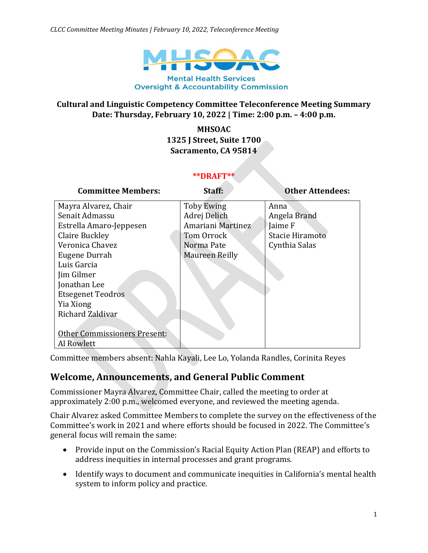

### **Cultural and Linguistic Competency Committee Teleconference Meeting Summary Date: Thursday, February 10, 2022 | Time: 2:00 p.m. – 4:00 p.m.**

**MHSOAC 1325 J Street, Suite 1700 Sacramento, CA 95814**

#### **\*\*DRAFT\*\***

| <b>Committee Members:</b>           | Staff:            | <b>Other Attendees:</b> |
|-------------------------------------|-------------------|-------------------------|
| Mayra Alvarez, Chair                | <b>Toby Ewing</b> | Anna                    |
| Senait Admassu                      | Adrej Delich      | Angela Brand            |
| Estrella Amaro-Jeppesen             | Amariani Martinez | Jaime F                 |
| Claire Buckley                      | Tom Orrock        | Stacie Hiramoto         |
| Veronica Chavez                     | Norma Pate        | Cynthia Salas           |
| Eugene Durrah                       | Maureen Reilly    |                         |
| Luis Garcia                         |                   |                         |
| Jim Gilmer                          |                   |                         |
| Jonathan Lee                        |                   |                         |
| <b>Etsegenet Teodros</b>            |                   |                         |
| Yia Xiong                           |                   |                         |
| Richard Zaldivar                    |                   |                         |
|                                     |                   |                         |
| <b>Other Commissioners Present:</b> |                   |                         |
| Al Rowlett                          |                   |                         |

Committee members absent: Nahla Kayali, Lee Lo, Yolanda Randles, Corinita Reyes

## **Welcome, Announcements, and General Public Comment**

Commissioner Mayra Alvarez, Committee Chair, called the meeting to order at approximately 2:00 p.m., welcomed everyone, and reviewed the meeting agenda.

Chair Alvarez asked Committee Members to complete the survey on the effectiveness of the Committee's work in 2021 and where efforts should be focused in 2022. The Committee's general focus will remain the same:

- Provide input on the Commission's Racial Equity Action Plan (REAP) and efforts to address inequities in internal processes and grant programs.
- Identify ways to document and communicate inequities in California's mental health system to inform policy and practice.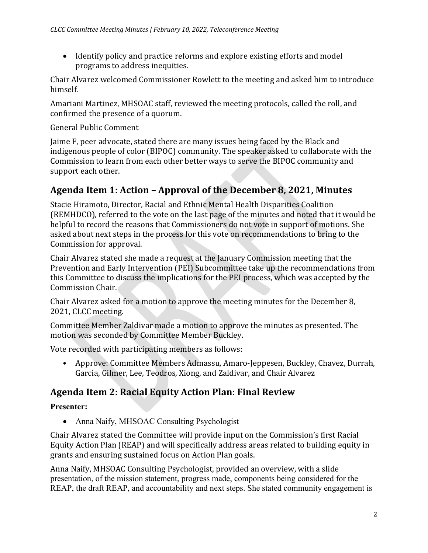• Identify policy and practice reforms and explore existing efforts and model programs to address inequities.

Chair Alvarez welcomed Commissioner Rowlett to the meeting and asked him to introduce himself.

Amariani Martinez, MHSOAC staff, reviewed the meeting protocols, called the roll, and confirmed the presence of a quorum.

### General Public Comment

Jaime F, peer advocate, stated there are many issues being faced by the Black and indigenous people of color (BIPOC) community. The speaker asked to collaborate with the Commission to learn from each other better ways to serve the BIPOC community and support each other.

# **Agenda Item 1: Action – Approval of the December 8, 2021, Minutes**

Stacie Hiramoto, Director, Racial and Ethnic Mental Health Disparities Coalition (REMHDCO), referred to the vote on the last page of the minutes and noted that it would be helpful to record the reasons that Commissioners do not vote in support of motions. She asked about next steps in the process for this vote on recommendations to bring to the Commission for approval.

Chair Alvarez stated she made a request at the January Commission meeting that the Prevention and Early Intervention (PEI) Subcommittee take up the recommendations from this Committee to discuss the implications for the PEI process, which was accepted by the Commission Chair.

Chair Alvarez asked for a motion to approve the meeting minutes for the December 8, 2021, CLCC meeting.

Committee Member Zaldivar made a motion to approve the minutes as presented. The motion was seconded by Committee Member Buckley.

Vote recorded with participating members as follows:

• Approve: Committee Members Admassu, Amaro-Jeppesen, Buckley, Chavez, Durrah, Garcia, Gilmer, Lee, Teodros, Xiong, and Zaldivar, and Chair Alvarez

# **Agenda Item 2: Racial Equity Action Plan: Final Review**

## **Presenter:**

• Anna Naify, MHSOAC Consulting Psychologist

Chair Alvarez stated the Committee will provide input on the Commission's first Racial Equity Action Plan (REAP) and will specifically address areas related to building equity in grants and ensuring sustained focus on Action Plan goals.

Anna Naify, MHSOAC Consulting Psychologist, provided an overview, with a slide presentation, of the mission statement, progress made, components being considered for the REAP, the draft REAP, and accountability and next steps. She stated community engagement is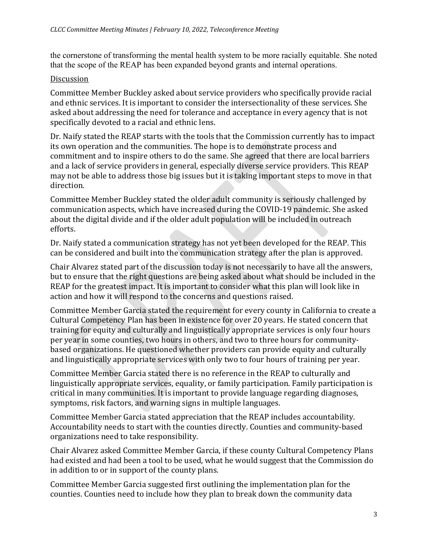the cornerstone of transforming the mental health system to be more racially equitable. She noted that the scope of the REAP has been expanded beyond grants and internal operations.

#### Discussion

Committee Member Buckley asked about service providers who specifically provide racial and ethnic services. It is important to consider the intersectionality of these services. She asked about addressing the need for tolerance and acceptance in every agency that is not specifically devoted to a racial and ethnic lens.

Dr. Naify stated the REAP starts with the tools that the Commission currently has to impact its own operation and the communities. The hope is to demonstrate process and commitment and to inspire others to do the same. She agreed that there are local barriers and a lack of service providers in general, especially diverse service providers. This REAP may not be able to address those big issues but it is taking important steps to move in that direction.

Committee Member Buckley stated the older adult community is seriously challenged by communication aspects, which have increased during the COVID-19 pandemic. She asked about the digital divide and if the older adult population will be included in outreach efforts.

Dr. Naify stated a communication strategy has not yet been developed for the REAP. This can be considered and built into the communication strategy after the plan is approved.

Chair Alvarez stated part of the discussion today is not necessarily to have all the answers, but to ensure that the right questions are being asked about what should be included in the REAP for the greatest impact. It is important to consider what this plan will look like in action and how it will respond to the concerns and questions raised.

Committee Member Garcia stated the requirement for every county in California to create a Cultural Competency Plan has been in existence for over 20 years. He stated concern that training for equity and culturally and linguistically appropriate services is only four hours per year in some counties, two hours in others, and two to three hours for communitybased organizations. He questioned whether providers can provide equity and culturally and linguistically appropriate services with only two to four hours of training per year.

Committee Member Garcia stated there is no reference in the REAP to culturally and linguistically appropriate services, equality, or family participation. Family participation is critical in many communities. It is important to provide language regarding diagnoses, symptoms, risk factors, and warning signs in multiple languages.

Committee Member Garcia stated appreciation that the REAP includes accountability. Accountability needs to start with the counties directly. Counties and community-based organizations need to take responsibility.

Chair Alvarez asked Committee Member Garcia, if these county Cultural Competency Plans had existed and had been a tool to be used, what he would suggest that the Commission do in addition to or in support of the county plans.

Committee Member Garcia suggested first outlining the implementation plan for the counties. Counties need to include how they plan to break down the community data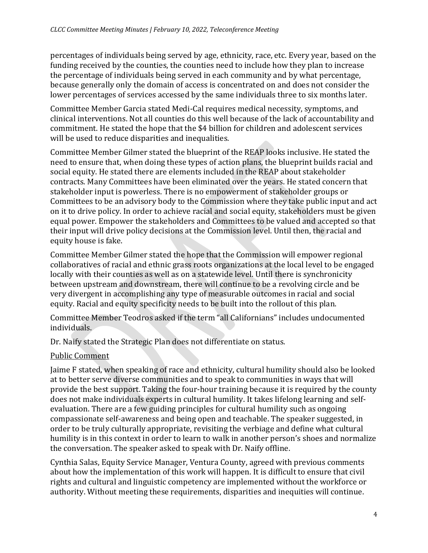percentages of individuals being served by age, ethnicity, race, etc. Every year, based on the funding received by the counties, the counties need to include how they plan to increase the percentage of individuals being served in each community and by what percentage, because generally only the domain of access is concentrated on and does not consider the lower percentages of services accessed by the same individuals three to six months later.

Committee Member Garcia stated Medi-Cal requires medical necessity, symptoms, and clinical interventions. Not all counties do this well because of the lack of accountability and commitment. He stated the hope that the \$4 billion for children and adolescent services will be used to reduce disparities and inequalities.

Committee Member Gilmer stated the blueprint of the REAP looks inclusive. He stated the need to ensure that, when doing these types of action plans, the blueprint builds racial and social equity. He stated there are elements included in the REAP about stakeholder contracts. Many Committees have been eliminated over the years. He stated concern that stakeholder input is powerless. There is no empowerment of stakeholder groups or Committees to be an advisory body to the Commission where they take public input and act on it to drive policy. In order to achieve racial and social equity, stakeholders must be given equal power. Empower the stakeholders and Committees to be valued and accepted so that their input will drive policy decisions at the Commission level. Until then, the racial and equity house is fake.

Committee Member Gilmer stated the hope that the Commission will empower regional collaboratives of racial and ethnic grass roots organizations at the local level to be engaged locally with their counties as well as on a statewide level. Until there is synchronicity between upstream and downstream, there will continue to be a revolving circle and be very divergent in accomplishing any type of measurable outcomes in racial and social equity. Racial and equity specificity needs to be built into the rollout of this plan.

Committee Member Teodros asked if the term "all Californians" includes undocumented individuals.

Dr. Naify stated the Strategic Plan does not differentiate on status.

### Public Comment

Jaime F stated, when speaking of race and ethnicity, cultural humility should also be looked at to better serve diverse communities and to speak to communities in ways that will provide the best support. Taking the four-hour training because it is required by the county does not make individuals experts in cultural humility. It takes lifelong learning and selfevaluation. There are a few guiding principles for cultural humility such as ongoing compassionate self-awareness and being open and teachable. The speaker suggested, in order to be truly culturally appropriate, revisiting the verbiage and define what cultural humility is in this context in order to learn to walk in another person's shoes and normalize the conversation. The speaker asked to speak with Dr. Naify offline.

Cynthia Salas, Equity Service Manager, Ventura County, agreed with previous comments about how the implementation of this work will happen. It is difficult to ensure that civil rights and cultural and linguistic competency are implemented without the workforce or authority. Without meeting these requirements, disparities and inequities will continue.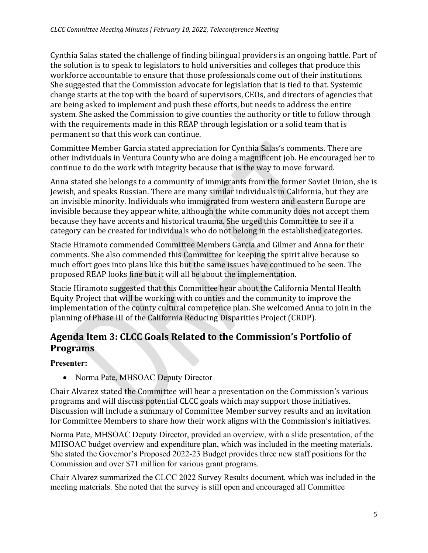Cynthia Salas stated the challenge of finding bilingual providers is an ongoing battle. Part of the solution is to speak to legislators to hold universities and colleges that produce this workforce accountable to ensure that those professionals come out of their institutions. She suggested that the Commission advocate for legislation that is tied to that. Systemic change starts at the top with the board of supervisors, CEOs, and directors of agencies that are being asked to implement and push these efforts, but needs to address the entire system. She asked the Commission to give counties the authority or title to follow through with the requirements made in this REAP through legislation or a solid team that is permanent so that this work can continue.

Committee Member Garcia stated appreciation for Cynthia Salas's comments. There are other individuals in Ventura County who are doing a magnificent job. He encouraged her to continue to do the work with integrity because that is the way to move forward.

Anna stated she belongs to a community of immigrants from the former Soviet Union, she is Jewish, and speaks Russian. There are many similar individuals in California, but they are an invisible minority. Individuals who immigrated from western and eastern Europe are invisible because they appear white, although the white community does not accept them because they have accents and historical trauma. She urged this Committee to see if a category can be created for individuals who do not belong in the established categories.

Stacie Hiramoto commended Committee Members Garcia and Gilmer and Anna for their comments. She also commended this Committee for keeping the spirit alive because so much effort goes into plans like this but the same issues have continued to be seen. The proposed REAP looks fine but it will all be about the implementation.

Stacie Hiramoto suggested that this Committee hear about the California Mental Health Equity Project that will be working with counties and the community to improve the implementation of the county cultural competence plan. She welcomed Anna to join in the planning of Phase III of the California Reducing Disparities Project (CRDP).

# **Agenda Item 3: CLCC Goals Related to the Commission's Portfolio of Programs**

**Presenter:**

• Norma Pate, MHSOAC Deputy Director

Chair Alvarez stated the Committee will hear a presentation on the Commission's various programs and will discuss potential CLCC goals which may support those initiatives. Discussion will include a summary of Committee Member survey results and an invitation for Committee Members to share how their work aligns with the Commission's initiatives.

Norma Pate, MHSOAC Deputy Director, provided an overview, with a slide presentation, of the MHSOAC budget overview and expenditure plan, which was included in the meeting materials. She stated the Governor's Proposed 2022-23 Budget provides three new staff positions for the Commission and over \$71 million for various grant programs.

Chair Alvarez summarized the CLCC 2022 Survey Results document, which was included in the meeting materials. She noted that the survey is still open and encouraged all Committee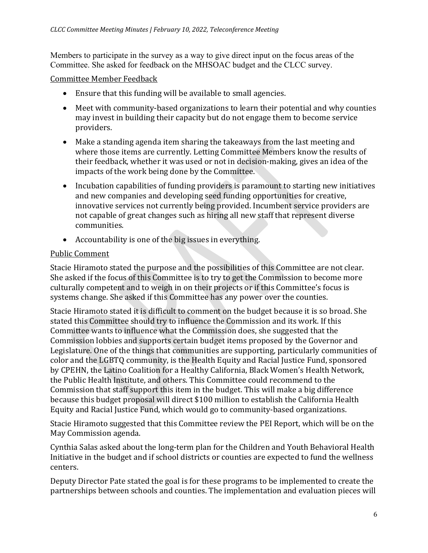Members to participate in the survey as a way to give direct input on the focus areas of the Committee. She asked for feedback on the MHSOAC budget and the CLCC survey.

Committee Member Feedback

- Ensure that this funding will be available to small agencies.
- Meet with community-based organizations to learn their potential and why counties may invest in building their capacity but do not engage them to become service providers.
- Make a standing agenda item sharing the takeaways from the last meeting and where those items are currently. Letting Committee Members know the results of their feedback, whether it was used or not in decision-making, gives an idea of the impacts of the work being done by the Committee.
- Incubation capabilities of funding providers is paramount to starting new initiatives and new companies and developing seed funding opportunities for creative, innovative services not currently being provided. Incumbent service providers are not capable of great changes such as hiring all new staff that represent diverse communities.
- Accountability is one of the big issues in everything.

### Public Comment

Stacie Hiramoto stated the purpose and the possibilities of this Committee are not clear. She asked if the focus of this Committee is to try to get the Commission to become more culturally competent and to weigh in on their projects or if this Committee's focus is systems change. She asked if this Committee has any power over the counties.

Stacie Hiramoto stated it is difficult to comment on the budget because it is so broad. She stated this Committee should try to influence the Commission and its work. If this Committee wants to influence what the Commission does, she suggested that the Commission lobbies and supports certain budget items proposed by the Governor and Legislature. One of the things that communities are supporting, particularly communities of color and the LGBTQ community, is the Health Equity and Racial Justice Fund, sponsored by CPEHN, the Latino Coalition for a Healthy California, Black Women's Health Network, the Public Health Institute, and others. This Committee could recommend to the Commission that staff support this item in the budget. This will make a big difference because this budget proposal will direct \$100 million to establish the California Health Equity and Racial Justice Fund, which would go to community-based organizations.

Stacie Hiramoto suggested that this Committee review the PEI Report, which will be on the May Commission agenda.

Cynthia Salas asked about the long-term plan for the Children and Youth Behavioral Health Initiative in the budget and if school districts or counties are expected to fund the wellness centers.

Deputy Director Pate stated the goal is for these programs to be implemented to create the partnerships between schools and counties. The implementation and evaluation pieces will